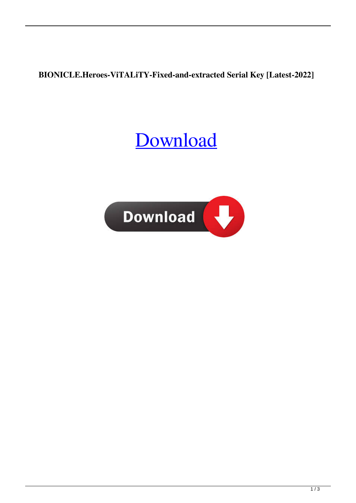## **BIONICLE.Heroes-ViTALiTY-Fixed-and-extracted Serial Key [Latest-2022]**

## [Download](http://evacdir.com/craftwork.ZG93bmxvYWR8WVkwTW5Cd2RIeDhNVFkxTWpRMk16QTFNSHg4TWpVM05IeDhLRTBwSUhKbFlXUXRZbXh2WnlCYlJtRnpkQ0JIUlU1ZA.arad.differeent./QklPTklDTEUuSGVyb2VzLVZpVEFMaVRZLUZpeGVkLWFuZC1leHRyYWN0ZWQgU2VyaWFsIEtleQQkl.histopathologic)

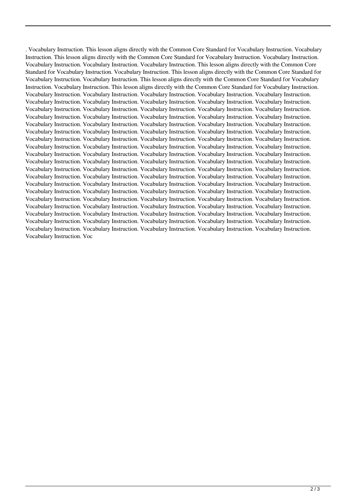. Vocabulary Instruction. This lesson aligns directly with the Common Core Standard for Vocabulary Instruction. Vocabulary Instruction. This lesson aligns directly with the Common Core Standard for Vocabulary Instruction. Vocabulary Instruction. Vocabulary Instruction. Vocabulary Instruction. Vocabulary Instruction. This lesson aligns directly with the Common Core Standard for Vocabulary Instruction. Vocabulary Instruction. This lesson aligns directly with the Common Core Standard for Vocabulary Instruction. Vocabulary Instruction. This lesson aligns directly with the Common Core Standard for Vocabulary Instruction. Vocabulary Instruction. This lesson aligns directly with the Common Core Standard for Vocabulary Instruction. Vocabulary Instruction. Vocabulary Instruction. Vocabulary Instruction. Vocabulary Instruction. Vocabulary Instruction. Vocabulary Instruction. Vocabulary Instruction. Vocabulary Instruction. Vocabulary Instruction. Vocabulary Instruction. Vocabulary Instruction. Vocabulary Instruction. Vocabulary Instruction. Vocabulary Instruction. Vocabulary Instruction. Vocabulary Instruction. Vocabulary Instruction. Vocabulary Instruction. Vocabulary Instruction. Vocabulary Instruction. Vocabulary Instruction. Vocabulary Instruction. Vocabulary Instruction. Vocabulary Instruction. Vocabulary Instruction. Vocabulary Instruction. Vocabulary Instruction. Vocabulary Instruction. Vocabulary Instruction. Vocabulary Instruction. Vocabulary Instruction. Vocabulary Instruction. Vocabulary Instruction. Vocabulary Instruction. Vocabulary Instruction. Vocabulary Instruction. Vocabulary Instruction. Vocabulary Instruction. Vocabulary Instruction. Vocabulary Instruction. Vocabulary Instruction. Vocabulary Instruction. Vocabulary Instruction. Vocabulary Instruction. Vocabulary Instruction. Vocabulary Instruction. Vocabulary Instruction. Vocabulary Instruction. Vocabulary Instruction. Vocabulary Instruction. Vocabulary Instruction. Vocabulary Instruction. Vocabulary Instruction. Vocabulary Instruction. Vocabulary Instruction. Vocabulary Instruction. Vocabulary Instruction. Vocabulary Instruction. Vocabulary Instruction. Vocabulary Instruction. Vocabulary Instruction. Vocabulary Instruction. Vocabulary Instruction. Vocabulary Instruction. Vocabulary Instruction. Vocabulary Instruction. Vocabulary Instruction. Vocabulary Instruction. Vocabulary Instruction. Vocabulary Instruction. Vocabulary Instruction. Vocabulary Instruction. Vocabulary Instruction. Vocabulary Instruction. Vocabulary Instruction. Vocabulary Instruction. Vocabulary Instruction. Vocabulary Instruction. Vocabulary Instruction. Vocabulary Instruction. Vocabulary Instruction. Vocabulary Instruction. Vocabulary Instruction. Vocabulary Instruction. Vocabulary Instruction. Vocabulary Instruction. Vocabulary Instruction. Vocabulary Instruction. Vocabulary Instruction. Vocabulary Instruction. Vocabulary Instruction. Vocabulary Instruction. Vocabulary Instruction. Vocabulary Instruction. Vocabulary Instruction. Vocabulary Instruction. Voc